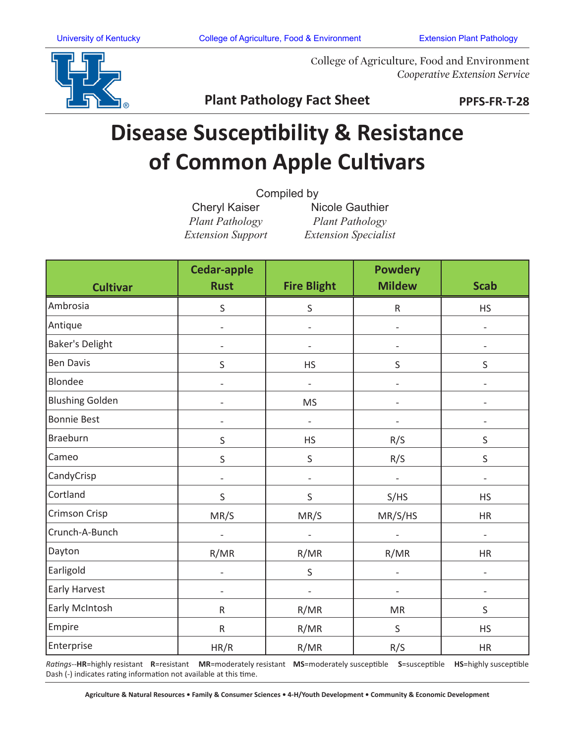

College of Agriculture, Food and Environment *Cooperative Extension Service*

**Plant Pathology Fact Sheet**

**PPFS-FR-T-28**

## **Disease Susceptibility & Resistance of Common Apple Cultivars**

| Compiled by |  |
|-------------|--|
|             |  |

Cheryl Kaiser *Plant Pathology Extension Support*

Nicole Gauthier *Plant Pathology Extension Specialist*

| <b>Cultivar</b>        | <b>Cedar-apple</b><br><b>Rust</b> | <b>Fire Blight</b>           | <b>Powdery</b><br><b>Mildew</b> | <b>Scab</b>              |
|------------------------|-----------------------------------|------------------------------|---------------------------------|--------------------------|
| Ambrosia               | S                                 | S                            | ${\sf R}$                       | <b>HS</b>                |
| Antique                | $\frac{1}{2}$                     | $\frac{1}{2}$                | $\blacksquare$                  | $\frac{1}{2}$            |
| <b>Baker's Delight</b> | $\overline{a}$                    | $\qquad \qquad -$            | $\overline{\phantom{0}}$        | $\overline{a}$           |
| <b>Ben Davis</b>       | $\sf S$                           | <b>HS</b>                    | S                               | $\sf S$                  |
| Blondee                |                                   | $\qquad \qquad -$            | $\overline{\phantom{0}}$        |                          |
| <b>Blushing Golden</b> | $\overline{a}$                    | <b>MS</b>                    | $\overline{\phantom{0}}$        |                          |
| <b>Bonnie Best</b>     | $\overline{\phantom{a}}$          | $\overline{\phantom{a}}$     | $\overline{\phantom{0}}$        | $\qquad \qquad -$        |
| Braeburn               | $\sf S$                           | <b>HS</b>                    | R/S                             | S                        |
| Cameo                  | $\sf S$                           | S                            | R/S                             | $\mathsf S$              |
| CandyCrisp             |                                   |                              |                                 |                          |
| Cortland               | $\mathsf S$                       | S                            | S/HS                            | <b>HS</b>                |
| Crimson Crisp          | MR/S                              | MR/S                         | MR/S/HS                         | HR                       |
| Crunch-A-Bunch         | $\overline{\phantom{a}}$          | $\overline{\phantom{a}}$     | $\overline{\phantom{a}}$        | $\overline{\phantom{a}}$ |
| Dayton                 | R/MR                              | R/MR                         | R/MR                            | HR                       |
| Earligold              | $\overline{\phantom{a}}$          | S                            | $\overline{\phantom{a}}$        | $\overline{\phantom{a}}$ |
| Early Harvest          | $\overline{\phantom{a}}$          | $\qquad \qquad \blacksquare$ | $\overline{\phantom{0}}$        | $\overline{\phantom{a}}$ |
| Early McIntosh         | ${\sf R}$                         | R/MR                         | <b>MR</b>                       | S                        |
| Empire                 | ${\sf R}$                         | R/MR                         | $\sf S$                         | <b>HS</b>                |
| Enterprise             | HR/R                              | R/MR                         | R/S                             | <b>HR</b>                |

*Ratings*--**HR**=highly resistant **R**=resistant **MR**=moderately resistant **MS**=moderately susceptible **S**=susceptible **HS**=highly susceptible Dash (-) indicates rating information not available at this time.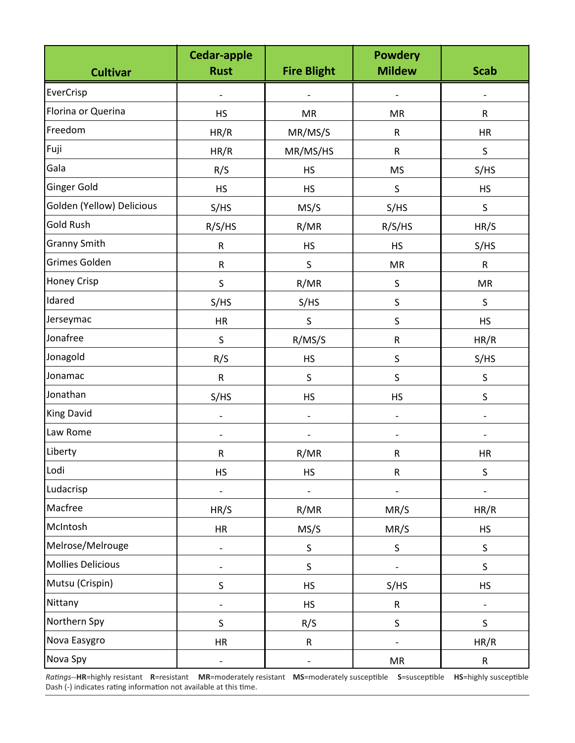| <b>Cultivar</b>           | <b>Cedar-apple</b><br><b>Rust</b> | <b>Fire Blight</b>       | <b>Powdery</b><br><b>Mildew</b> | <b>Scab</b>              |
|---------------------------|-----------------------------------|--------------------------|---------------------------------|--------------------------|
| EverCrisp                 |                                   |                          |                                 |                          |
| Florina or Querina        | <b>HS</b>                         | <b>MR</b>                | <b>MR</b>                       | $\mathsf{R}$             |
| Freedom                   | HR/R                              | MR/MS/S                  | ${\sf R}$                       | <b>HR</b>                |
| Fuji                      | HR/R                              | MR/MS/HS                 | R                               | $\mathsf S$              |
| Gala                      | R/S                               | <b>HS</b>                | <b>MS</b>                       | S/HS                     |
| Ginger Gold               | <b>HS</b>                         | <b>HS</b>                | $\sf S$                         | HS                       |
| Golden (Yellow) Delicious | S/HS                              | MS/S                     | S/HS                            | $\sf S$                  |
| Gold Rush                 | R/S/HS                            | R/MR                     | R/S/HS                          | HR/S                     |
| <b>Granny Smith</b>       | ${\sf R}$                         | <b>HS</b>                | <b>HS</b>                       | S/HS                     |
| Grimes Golden             | $\mathsf R$                       | $\sf S$                  | MR                              | $\mathsf{R}$             |
| Honey Crisp               | S                                 | R/MR                     | $\mathsf S$                     | <b>MR</b>                |
| Idared                    | S/HS                              | S/HS                     | $\sf S$                         | $\mathsf S$              |
| Jerseymac                 | HR                                | $\mathsf S$              | $\sf S$                         | <b>HS</b>                |
| Jonafree                  | $\sf S$                           | R/MS/S                   | ${\sf R}$                       | HR/R                     |
| Jonagold                  | R/S                               | <b>HS</b>                | $\sf S$                         | S/HS                     |
| Jonamac                   | ${\sf R}$                         | $\sf S$                  | $\sf S$                         | $\mathsf S$              |
| Jonathan                  | S/HS                              | <b>HS</b>                | <b>HS</b>                       | $\mathsf S$              |
| <b>King David</b>         | $\overline{\phantom{0}}$          | $\overline{\phantom{0}}$ | $\overline{a}$                  |                          |
| Law Rome                  |                                   |                          |                                 |                          |
| Liberty                   | ${\sf R}$                         | R/MR                     | ${\sf R}$                       | <b>HR</b>                |
| Lodi                      | <b>HS</b>                         | <b>HS</b>                | ${\sf R}$                       | $\sf S$                  |
| Ludacrisp                 | $\qquad \qquad \blacksquare$      |                          |                                 |                          |
| Macfree                   | HR/S                              | R/MR                     | MR/S                            | HR/R                     |
| McIntosh                  | HR                                | MS/S                     | MR/S                            | HS                       |
| Melrose/Melrouge          | $\qquad \qquad \blacksquare$      | $\sf S$                  | $\sf S$                         | S                        |
| <b>Mollies Delicious</b>  | $\qquad \qquad \blacksquare$      | $\sf S$                  |                                 | $\sf S$                  |
| Mutsu (Crispin)           | $\sf S$                           | <b>HS</b>                | S/HS                            | HS                       |
| Nittany                   | $\qquad \qquad \blacksquare$      | <b>HS</b>                | ${\sf R}$                       | $\overline{\phantom{a}}$ |
| Northern Spy              | $\sf S$                           | R/S                      | $\sf S$                         | $\sf S$                  |
| Nova Easygro              | <b>HR</b>                         | ${\sf R}$                |                                 | HR/R                     |
| Nova Spy                  | $\overline{\phantom{0}}$          | $\overline{\phantom{0}}$ | ${\sf MR}$                      | ${\sf R}$                |

*Ratings*--**HR**=highly resistant **R**=resistant **MR**=moderately resistant **MS**=moderately susceptible **S**=susceptible **HS**=highly susceptible Dash (-) indicates rating information not available at this time.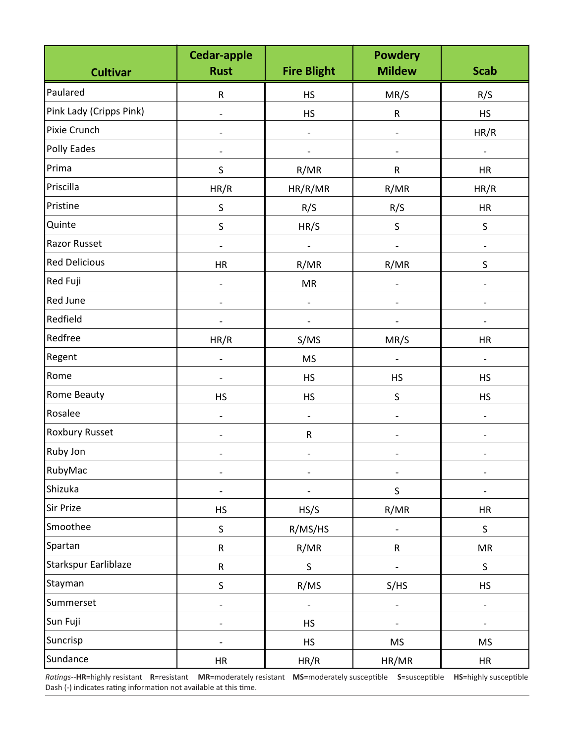| <b>Cultivar</b>         | <b>Cedar-apple</b><br><b>Rust</b> | <b>Fire Blight</b>           | <b>Powdery</b><br><b>Mildew</b> | <b>Scab</b>              |
|-------------------------|-----------------------------------|------------------------------|---------------------------------|--------------------------|
| Paulared                | $\mathsf R$                       | <b>HS</b>                    | MR/S                            | R/S                      |
| Pink Lady (Cripps Pink) | $\overline{\phantom{0}}$          | <b>HS</b>                    | ${\sf R}$                       | <b>HS</b>                |
| Pixie Crunch            |                                   |                              | $\qquad \qquad \blacksquare$    | HR/R                     |
| Polly Eades             |                                   |                              |                                 |                          |
| Prima                   | $\sf S$                           | R/MR                         | R                               | <b>HR</b>                |
| Priscilla               | HR/R                              | HR/R/MR                      | R/MR                            | HR/R                     |
| Pristine                | $\sf S$                           | R/S                          | R/S                             | <b>HR</b>                |
| Quinte                  | $\sf S$                           | HR/S                         | $\sf S$                         | S                        |
| <b>Razor Russet</b>     | $\qquad \qquad \blacksquare$      |                              |                                 |                          |
| <b>Red Delicious</b>    | <b>HR</b>                         | R/MR                         | R/MR                            | $\mathsf S$              |
| Red Fuji                | $\frac{1}{2}$                     | <b>MR</b>                    | $\overline{\phantom{a}}$        | $\overline{\phantom{0}}$ |
| <b>Red June</b>         | $\overline{\phantom{0}}$          |                              |                                 |                          |
| Redfield                |                                   |                              |                                 |                          |
| Redfree                 | HR/R                              | S/MS                         | MR/S                            | <b>HR</b>                |
| Regent                  | $\overline{a}$                    | <b>MS</b>                    |                                 |                          |
| Rome                    | $\qquad \qquad \blacksquare$      | <b>HS</b>                    | HS                              | <b>HS</b>                |
| Rome Beauty             | <b>HS</b>                         | <b>HS</b>                    | $\mathsf S$                     | <b>HS</b>                |
| Rosalee                 | $\qquad \qquad \blacksquare$      | $\qquad \qquad \blacksquare$ |                                 |                          |
| <b>Roxbury Russet</b>   |                                   | ${\sf R}$                    |                                 |                          |
| Ruby Jon                |                                   |                              |                                 |                          |
| RubyMac                 | $\overline{a}$                    |                              |                                 |                          |
| Shizuka                 | $\qquad \qquad \blacksquare$      |                              | $\sf S$                         |                          |
| Sir Prize               | HS                                | HS/S                         | R/MR                            | HR                       |
| Smoothee                | $\sf S$                           | R/MS/HS                      |                                 | $\sf S$                  |
| Spartan                 | ${\sf R}$                         | R/MR                         | ${\sf R}$                       | MR                       |
| Starkspur Earliblaze    | ${\sf R}$                         | $\sf S$                      |                                 | $\sf S$                  |
| Stayman                 | $\sf S$                           | R/MS                         | S/HS                            | HS                       |
| Summerset               | $\overline{\phantom{0}}$          | $\qquad \qquad \blacksquare$ | $\qquad \qquad \blacksquare$    | $\overline{\phantom{0}}$ |
| Sun Fuji                | $\overline{a}$                    | <b>HS</b>                    |                                 |                          |
| Suncrisp                | -                                 | <b>HS</b>                    | <b>MS</b>                       | <b>MS</b>                |
| Sundance                | HR                                | HR/R                         | HR/MR                           | HR                       |

*Ratings*--**HR**=highly resistant **R**=resistant **MR**=moderately resistant **MS**=moderately susceptible **S**=susceptible **HS**=highly susceptible Dash (-) indicates rating information not available at this time.